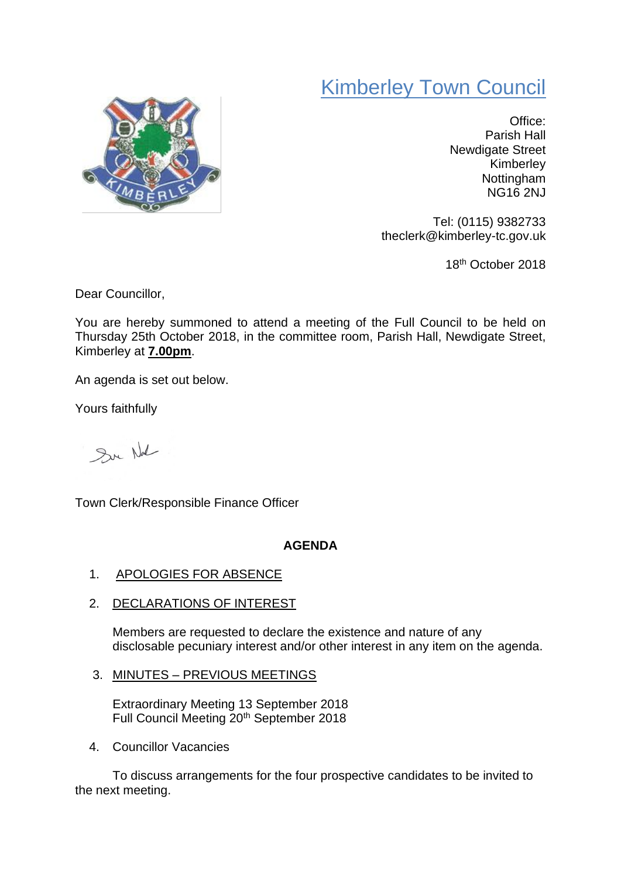# Kimberley Town Council



Office: Parish Hall Newdigate Street Kimberley Nottingham NG16 2NJ

Tel: (0115) 9382733 theclerk@kimberley-tc.gov.uk

18th October 2018

Dear Councillor,

You are hereby summoned to attend a meeting of the Full Council to be held on Thursday 25th October 2018, in the committee room, Parish Hall, Newdigate Street, Kimberley at **7.00pm**.

An agenda is set out below.

Yours faithfully

Sur Not

Town Clerk/Responsible Finance Officer

# **AGENDA**

- 1. APOLOGIES FOR ABSENCE
- 2. DECLARATIONS OF INTEREST

Members are requested to declare the existence and nature of any disclosable pecuniary interest and/or other interest in any item on the agenda.

3. MINUTES – PREVIOUS MEETINGS

Extraordinary Meeting 13 September 2018 Full Council Meeting 20th September 2018

4. Councillor Vacancies

To discuss arrangements for the four prospective candidates to be invited to the next meeting.